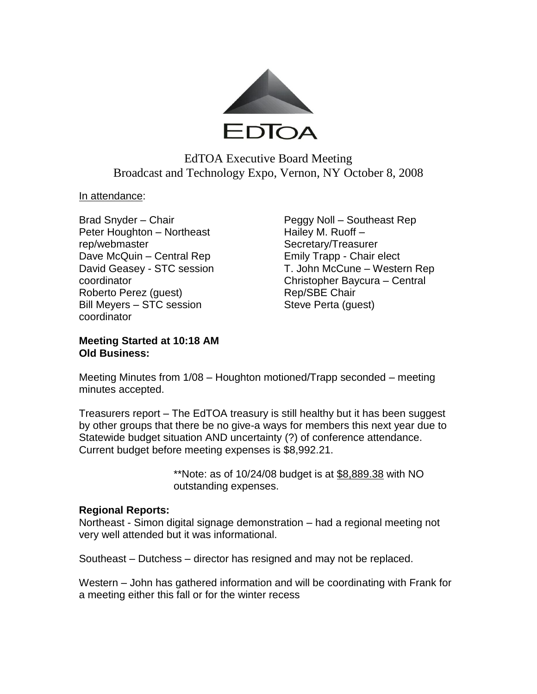

# EdTOA Executive Board Meeting Broadcast and Technology Expo, Vernon, NY October 8, 2008

## In attendance:

Brad Snyder – Chair Peter Houghton – Northeast rep/webmaster Dave McQuin – Central Rep David Geasey - STC session coordinator Roberto Perez (guest) Bill Meyers – STC session coordinator

Peggy Noll – Southeast Rep Hailey M. Ruoff – Secretary/Treasurer Emily Trapp - Chair elect T. John McCune – Western Rep Christopher Baycura – Central Rep/SBE Chair Steve Perta (guest)

**Meeting Started at 10:18 AM Old Business:**

Meeting Minutes from 1/08 – Houghton motioned/Trapp seconded – meeting minutes accepted.

Treasurers report – The EdTOA treasury is still healthy but it has been suggest by other groups that there be no give-a ways for members this next year due to Statewide budget situation AND uncertainty (?) of conference attendance. Current budget before meeting expenses is \$8,992.21.

> \*\*Note: as of 10/24/08 budget is at \$8,889.38 with NO outstanding expenses.

#### **Regional Reports:**

Northeast - Simon digital signage demonstration – had a regional meeting not very well attended but it was informational.

Southeast – Dutchess – director has resigned and may not be replaced.

Western – John has gathered information and will be coordinating with Frank for a meeting either this fall or for the winter recess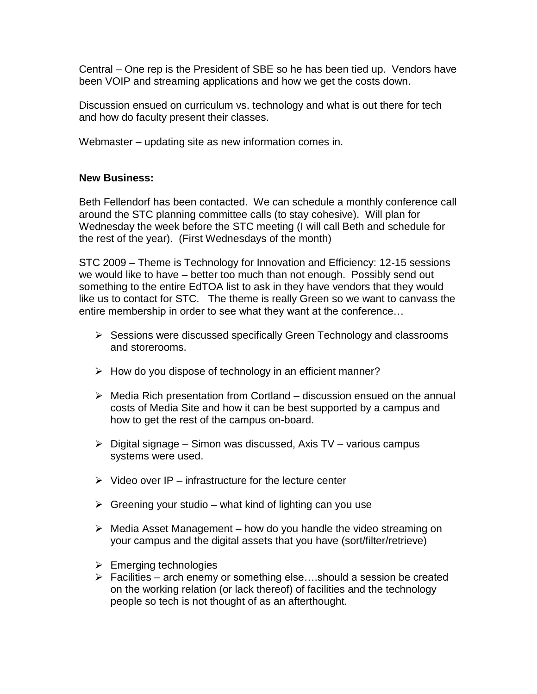Central – One rep is the President of SBE so he has been tied up. Vendors have been VOIP and streaming applications and how we get the costs down.

Discussion ensued on curriculum vs. technology and what is out there for tech and how do faculty present their classes.

Webmaster – updating site as new information comes in.

### **New Business:**

Beth Fellendorf has been contacted. We can schedule a monthly conference call around the STC planning committee calls (to stay cohesive). Will plan for Wednesday the week before the STC meeting (I will call Beth and schedule for the rest of the year). (First Wednesdays of the month)

STC 2009 – Theme is Technology for Innovation and Efficiency: 12-15 sessions we would like to have – better too much than not enough. Possibly send out something to the entire EdTOA list to ask in they have vendors that they would like us to contact for STC. The theme is really Green so we want to canvass the entire membership in order to see what they want at the conference…

- $\triangleright$  Sessions were discussed specifically Green Technology and classrooms and storerooms.
- $\triangleright$  How do you dispose of technology in an efficient manner?
- $\triangleright$  Media Rich presentation from Cortland discussion ensued on the annual costs of Media Site and how it can be best supported by a campus and how to get the rest of the campus on-board.
- $\triangleright$  Digital signage Simon was discussed, Axis TV various campus systems were used.
- $\triangleright$  Video over IP infrastructure for the lecture center
- $\triangleright$  Greening your studio what kind of lighting can you use
- $\triangleright$  Media Asset Management how do you handle the video streaming on your campus and the digital assets that you have (sort/filter/retrieve)
- $\triangleright$  Emerging technologies
- $\triangleright$  Facilities arch enemy or something else....should a session be created on the working relation (or lack thereof) of facilities and the technology people so tech is not thought of as an afterthought.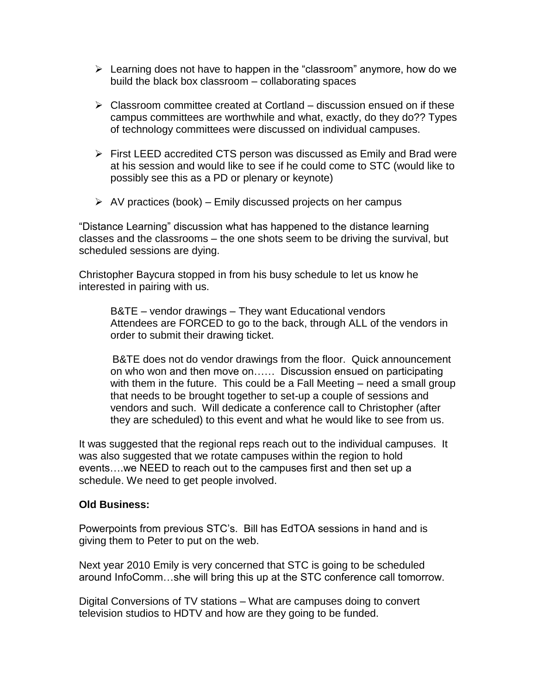- $\triangleright$  Learning does not have to happen in the "classroom" anymore, how do we build the black box classroom – collaborating spaces
- $\triangleright$  Classroom committee created at Cortland discussion ensued on if these campus committees are worthwhile and what, exactly, do they do?? Types of technology committees were discussed on individual campuses.
- $\triangleright$  First LEED accredited CTS person was discussed as Emily and Brad were at his session and would like to see if he could come to STC (would like to possibly see this as a PD or plenary or keynote)
- $\triangleright$  AV practices (book) Emily discussed projects on her campus

"Distance Learning" discussion what has happened to the distance learning classes and the classrooms – the one shots seem to be driving the survival, but scheduled sessions are dying.

Christopher Baycura stopped in from his busy schedule to let us know he interested in pairing with us.

B&TE – vendor drawings – They want Educational vendors Attendees are FORCED to go to the back, through ALL of the vendors in order to submit their drawing ticket.

B&TE does not do vendor drawings from the floor. Quick announcement on who won and then move on…… Discussion ensued on participating with them in the future. This could be a Fall Meeting – need a small group that needs to be brought together to set-up a couple of sessions and vendors and such. Will dedicate a conference call to Christopher (after they are scheduled) to this event and what he would like to see from us.

It was suggested that the regional reps reach out to the individual campuses. It was also suggested that we rotate campuses within the region to hold events….we NEED to reach out to the campuses first and then set up a schedule. We need to get people involved.

## **Old Business:**

Powerpoints from previous STC's. Bill has EdTOA sessions in hand and is giving them to Peter to put on the web.

Next year 2010 Emily is very concerned that STC is going to be scheduled around InfoComm…she will bring this up at the STC conference call tomorrow.

Digital Conversions of TV stations – What are campuses doing to convert television studios to HDTV and how are they going to be funded.